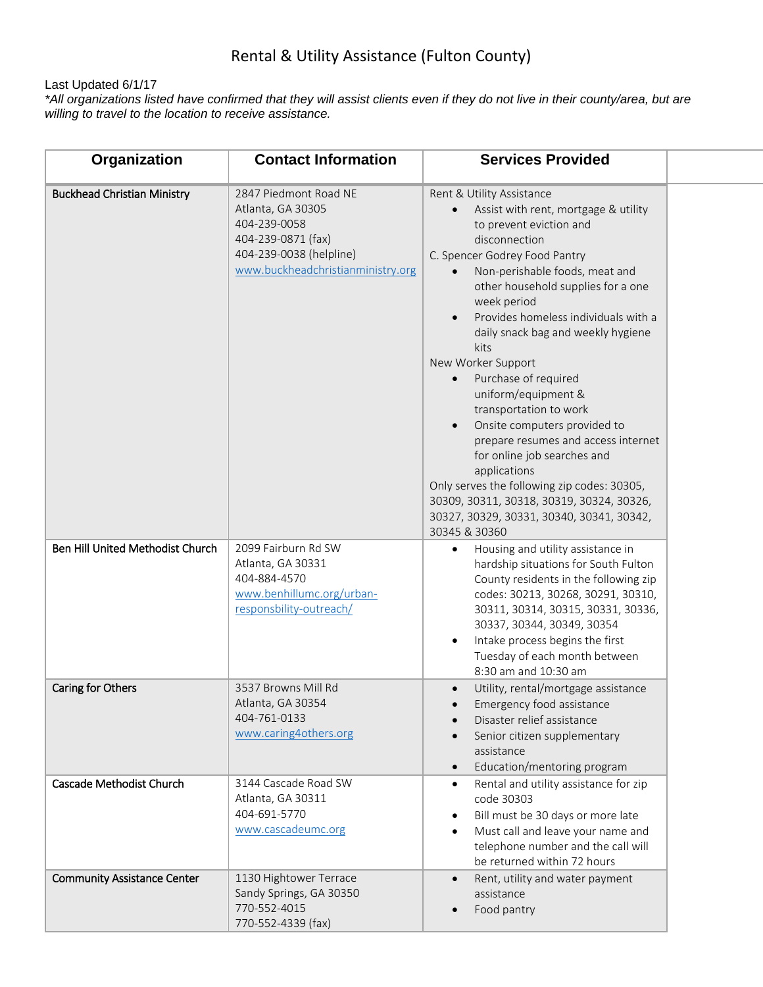## Rental & Utility Assistance (Fulton County)

## Last Updated 6/1/17

*\*All organizations listed have confirmed that they will assist clients even if they do not live in their county/area, but are willing to travel to the location to receive assistance.*

| Organization                       | <b>Contact Information</b>                                                                                                                       | <b>Services Provided</b>                                                                                                                                                                                                                                                                                                                                                                                                                                                                                                                                                                                                                                                                                                             |  |
|------------------------------------|--------------------------------------------------------------------------------------------------------------------------------------------------|--------------------------------------------------------------------------------------------------------------------------------------------------------------------------------------------------------------------------------------------------------------------------------------------------------------------------------------------------------------------------------------------------------------------------------------------------------------------------------------------------------------------------------------------------------------------------------------------------------------------------------------------------------------------------------------------------------------------------------------|--|
| <b>Buckhead Christian Ministry</b> | 2847 Piedmont Road NE<br>Atlanta, GA 30305<br>404-239-0058<br>404-239-0871 (fax)<br>404-239-0038 (helpline)<br>www.buckheadchristianministry.org | Rent & Utility Assistance<br>Assist with rent, mortgage & utility<br>to prevent eviction and<br>disconnection<br>C. Spencer Godrey Food Pantry<br>Non-perishable foods, meat and<br>$\bullet$<br>other household supplies for a one<br>week period<br>Provides homeless individuals with a<br>$\bullet$<br>daily snack bag and weekly hygiene<br>kits<br>New Worker Support<br>Purchase of required<br>uniform/equipment &<br>transportation to work<br>Onsite computers provided to<br>prepare resumes and access internet<br>for online job searches and<br>applications<br>Only serves the following zip codes: 30305,<br>30309, 30311, 30318, 30319, 30324, 30326,<br>30327, 30329, 30331, 30340, 30341, 30342,<br>30345 & 30360 |  |
| Ben Hill United Methodist Church   | 2099 Fairburn Rd SW<br>Atlanta, GA 30331<br>404-884-4570<br>www.benhillumc.org/urban-<br>responsbility-outreach/                                 | Housing and utility assistance in<br>$\bullet$<br>hardship situations for South Fulton<br>County residents in the following zip<br>codes: 30213, 30268, 30291, 30310,<br>30311, 30314, 30315, 30331, 30336,<br>30337, 30344, 30349, 30354<br>Intake process begins the first<br>Tuesday of each month between<br>8:30 am and 10:30 am                                                                                                                                                                                                                                                                                                                                                                                                |  |
| Caring for Others                  | 3537 Browns Mill Rd<br>Atlanta, GA 30354<br>404-761-0133<br>www.caring4others.org                                                                | Utility, rental/mortgage assistance<br>Emergency food assistance<br>Disaster relief assistance<br>Senior citizen supplementary<br>assistance<br>Education/mentoring program                                                                                                                                                                                                                                                                                                                                                                                                                                                                                                                                                          |  |
| Cascade Methodist Church           | 3144 Cascade Road SW<br>Atlanta, GA 30311<br>404-691-5770<br>www.cascadeumc.org                                                                  | Rental and utility assistance for zip<br>$\bullet$<br>code 30303<br>Bill must be 30 days or more late<br>$\bullet$<br>Must call and leave your name and<br>$\bullet$<br>telephone number and the call will<br>be returned within 72 hours                                                                                                                                                                                                                                                                                                                                                                                                                                                                                            |  |
| <b>Community Assistance Center</b> | 1130 Hightower Terrace<br>Sandy Springs, GA 30350<br>770-552-4015<br>770-552-4339 (fax)                                                          | Rent, utility and water payment<br>$\bullet$<br>assistance<br>Food pantry                                                                                                                                                                                                                                                                                                                                                                                                                                                                                                                                                                                                                                                            |  |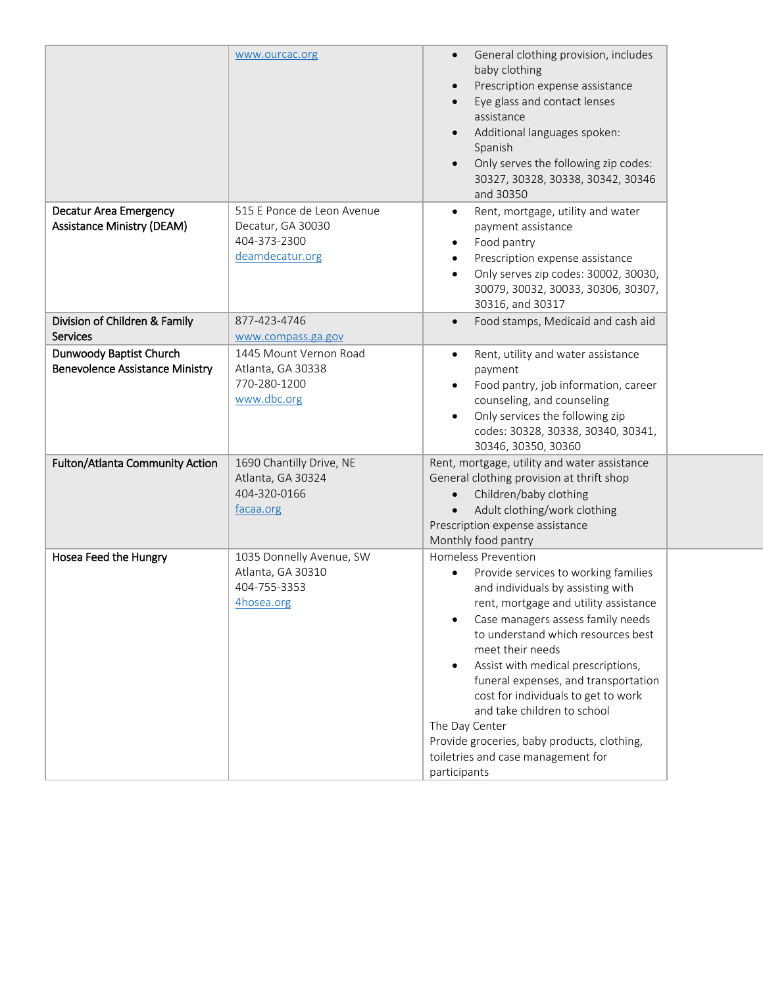|                                                                    | www.ourcac.org                                                                     | General clothing provision, includes<br>$\bullet$<br>baby clothing<br>Prescription expense assistance<br>$\bullet$<br>Eye glass and contact lenses<br>assistance<br>Additional languages spoken:<br>$\bullet$<br>Spanish<br>Only serves the following zip codes:<br>$\bullet$<br>30327, 30328, 30338, 30342, 30346<br>and 30350                                                                                                                                                                                                 |  |
|--------------------------------------------------------------------|------------------------------------------------------------------------------------|---------------------------------------------------------------------------------------------------------------------------------------------------------------------------------------------------------------------------------------------------------------------------------------------------------------------------------------------------------------------------------------------------------------------------------------------------------------------------------------------------------------------------------|--|
| <b>Decatur Area Emergency</b><br><b>Assistance Ministry (DEAM)</b> | 515 E Ponce de Leon Avenue<br>Decatur, GA 30030<br>404-373-2300<br>deamdecatur.org | Rent, mortgage, utility and water<br>$\bullet$<br>payment assistance<br>Food pantry<br>٠<br>Prescription expense assistance<br>Only serves zip codes: 30002, 30030,<br>30079, 30032, 30033, 30306, 30307,<br>30316, and 30317                                                                                                                                                                                                                                                                                                   |  |
| Division of Children & Family<br><b>Services</b>                   | 877-423-4746<br>www.compass.ga.gov                                                 | Food stamps, Medicaid and cash aid<br>$\bullet$                                                                                                                                                                                                                                                                                                                                                                                                                                                                                 |  |
| Dunwoody Baptist Church<br><b>Benevolence Assistance Ministry</b>  | 1445 Mount Vernon Road<br>Atlanta, GA 30338<br>770-280-1200<br>www.dbc.org         | Rent, utility and water assistance<br>$\bullet$<br>payment<br>Food pantry, job information, career<br>counseling, and counseling<br>Only services the following zip<br>codes: 30328, 30338, 30340, 30341,<br>30346, 30350, 30360                                                                                                                                                                                                                                                                                                |  |
| Fulton/Atlanta Community Action                                    | 1690 Chantilly Drive, NE<br>Atlanta, GA 30324<br>404-320-0166<br>facaa.org         | Rent, mortgage, utility and water assistance<br>General clothing provision at thrift shop<br>Children/baby clothing<br>$\bullet$<br>Adult clothing/work clothing<br>$\bullet$<br>Prescription expense assistance<br>Monthly food pantry                                                                                                                                                                                                                                                                                         |  |
| Hosea Feed the Hungry                                              | 1035 Donnelly Avenue, SW<br>Atlanta, GA 30310<br>404-755-3353<br>4hosea.org        | <b>Homeless Prevention</b><br>Provide services to working families<br>and individuals by assisting with<br>rent, mortgage and utility assistance<br>Case managers assess family needs<br>to understand which resources best<br>meet their needs<br>Assist with medical prescriptions,<br>٠<br>funeral expenses, and transportation<br>cost for individuals to get to work<br>and take children to school<br>The Day Center<br>Provide groceries, baby products, clothing,<br>toiletries and case management for<br>participants |  |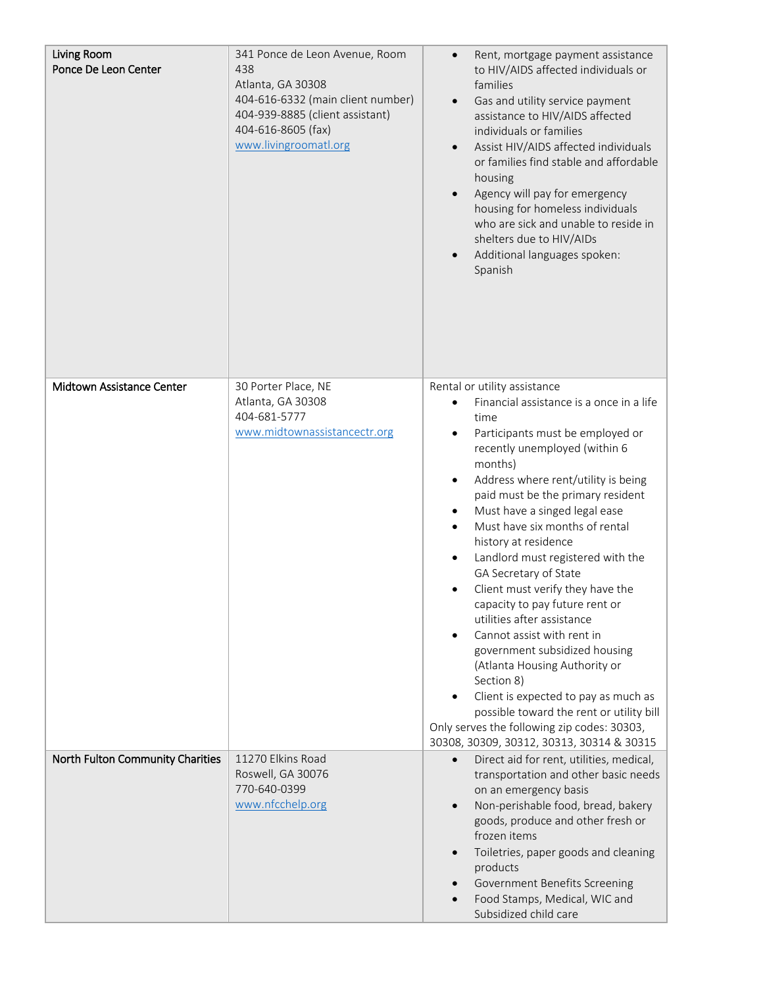| Living Room<br>Ponce De Leon Center | 341 Ponce de Leon Avenue, Room<br>438<br>Atlanta, GA 30308<br>404-616-6332 (main client number)<br>404-939-8885 (client assistant)<br>404-616-8605 (fax)<br>www.livingroomatl.org | Rent, mortgage payment assistance<br>$\bullet$<br>to HIV/AIDS affected individuals or<br>families<br>Gas and utility service payment<br>$\bullet$<br>assistance to HIV/AIDS affected<br>individuals or families<br>Assist HIV/AIDS affected individuals<br>or families find stable and affordable<br>housing<br>Agency will pay for emergency<br>housing for homeless individuals<br>who are sick and unable to reside in<br>shelters due to HIV/AIDs<br>Additional languages spoken:<br>Spanish                                                                                                                                                                                                                                                                                                                                               |
|-------------------------------------|-----------------------------------------------------------------------------------------------------------------------------------------------------------------------------------|------------------------------------------------------------------------------------------------------------------------------------------------------------------------------------------------------------------------------------------------------------------------------------------------------------------------------------------------------------------------------------------------------------------------------------------------------------------------------------------------------------------------------------------------------------------------------------------------------------------------------------------------------------------------------------------------------------------------------------------------------------------------------------------------------------------------------------------------|
| Midtown Assistance Center           | 30 Porter Place, NE<br>Atlanta, GA 30308<br>404-681-5777<br>www.midtownassistancectr.org                                                                                          | Rental or utility assistance<br>Financial assistance is a once in a life<br>time<br>Participants must be employed or<br>recently unemployed (within 6<br>months)<br>Address where rent/utility is being<br>$\bullet$<br>paid must be the primary resident<br>Must have a singed legal ease<br>$\bullet$<br>Must have six months of rental<br>$\bullet$<br>history at residence<br>Landlord must registered with the<br>GA Secretary of State<br>Client must verify they have the<br>capacity to pay future rent or<br>utilities after assistance<br>Cannot assist with rent in<br>government subsidized housing<br>(Atlanta Housing Authority or<br>Section 8)<br>Client is expected to pay as much as<br>possible toward the rent or utility bill<br>Only serves the following zip codes: 30303,<br>30308, 30309, 30312, 30313, 30314 & 30315 |
| North Fulton Community Charities    | 11270 Elkins Road<br>Roswell, GA 30076<br>770-640-0399<br>www.nfcchelp.org                                                                                                        | Direct aid for rent, utilities, medical,<br>$\bullet$<br>transportation and other basic needs<br>on an emergency basis<br>Non-perishable food, bread, bakery<br>goods, produce and other fresh or<br>frozen items<br>Toiletries, paper goods and cleaning<br>products<br>Government Benefits Screening<br>Food Stamps, Medical, WIC and<br>Subsidized child care                                                                                                                                                                                                                                                                                                                                                                                                                                                                               |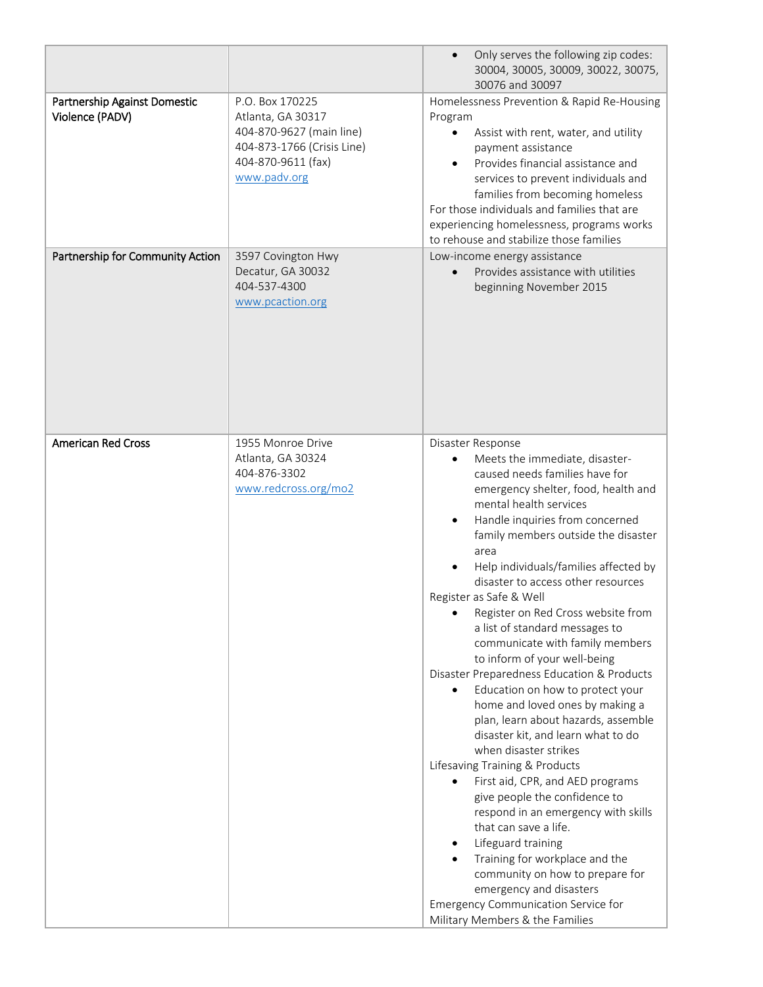|                                                 |                                                                                                                                      | Only serves the following zip codes:<br>30004, 30005, 30009, 30022, 30075,<br>30076 and 30097                                                                                                                                                                                                                                                                                                                                                                                                                                                                                                                                                                                                                                                                                                                                                                                                                                                                                                                                                                                                        |
|-------------------------------------------------|--------------------------------------------------------------------------------------------------------------------------------------|------------------------------------------------------------------------------------------------------------------------------------------------------------------------------------------------------------------------------------------------------------------------------------------------------------------------------------------------------------------------------------------------------------------------------------------------------------------------------------------------------------------------------------------------------------------------------------------------------------------------------------------------------------------------------------------------------------------------------------------------------------------------------------------------------------------------------------------------------------------------------------------------------------------------------------------------------------------------------------------------------------------------------------------------------------------------------------------------------|
| Partnership Against Domestic<br>Violence (PADV) | P.O. Box 170225<br>Atlanta, GA 30317<br>404-870-9627 (main line)<br>404-873-1766 (Crisis Line)<br>404-870-9611 (fax)<br>www.padv.org | Homelessness Prevention & Rapid Re-Housing<br>Program<br>Assist with rent, water, and utility<br>٠<br>payment assistance<br>Provides financial assistance and<br>$\bullet$<br>services to prevent individuals and<br>families from becoming homeless<br>For those individuals and families that are<br>experiencing homelessness, programs works<br>to rehouse and stabilize those families                                                                                                                                                                                                                                                                                                                                                                                                                                                                                                                                                                                                                                                                                                          |
| Partnership for Community Action                | 3597 Covington Hwy<br>Decatur, GA 30032<br>404-537-4300<br>www.pcaction.org                                                          | Low-income energy assistance<br>Provides assistance with utilities<br>beginning November 2015                                                                                                                                                                                                                                                                                                                                                                                                                                                                                                                                                                                                                                                                                                                                                                                                                                                                                                                                                                                                        |
| <b>American Red Cross</b>                       | 1955 Monroe Drive<br>Atlanta, GA 30324<br>404-876-3302<br>www.redcross.org/mo2                                                       | Disaster Response<br>Meets the immediate, disaster-<br>caused needs families have for<br>emergency shelter, food, health and<br>mental health services<br>Handle inquiries from concerned<br>family members outside the disaster<br>area<br>Help individuals/families affected by<br>disaster to access other resources<br>Register as Safe & Well<br>Register on Red Cross website from<br>a list of standard messages to<br>communicate with family members<br>to inform of your well-being<br>Disaster Preparedness Education & Products<br>Education on how to protect your<br>home and loved ones by making a<br>plan, learn about hazards, assemble<br>disaster kit, and learn what to do<br>when disaster strikes<br>Lifesaving Training & Products<br>First aid, CPR, and AED programs<br>give people the confidence to<br>respond in an emergency with skills<br>that can save a life.<br>Lifeguard training<br>٠<br>Training for workplace and the<br>community on how to prepare for<br>emergency and disasters<br>Emergency Communication Service for<br>Military Members & the Families |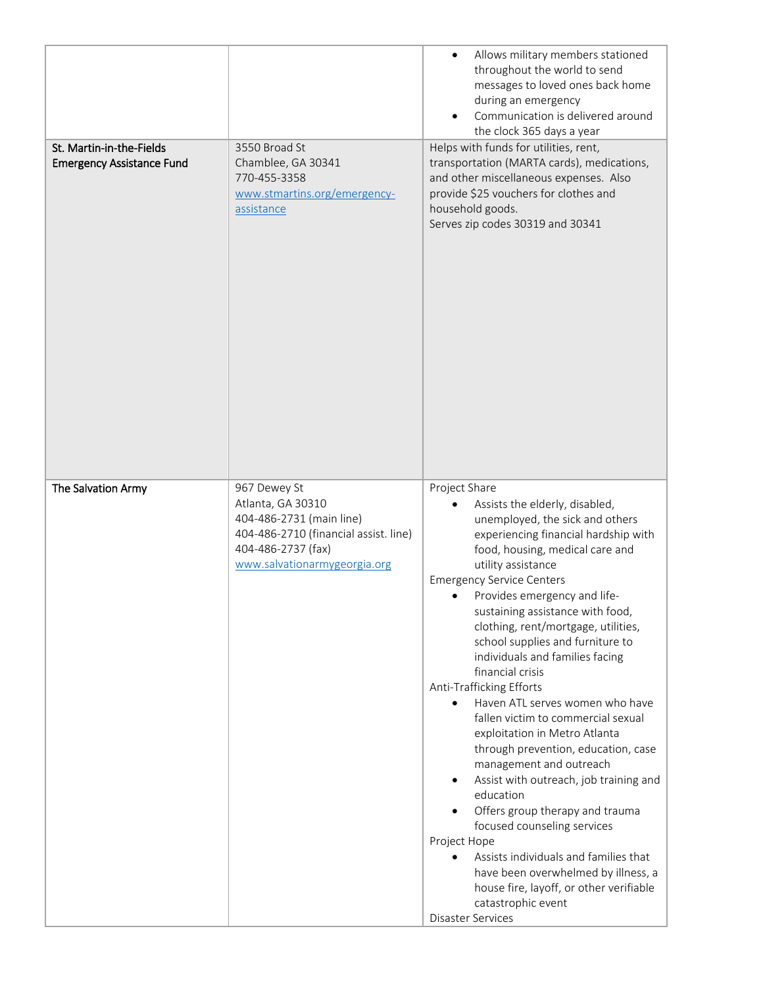| St. Martin-in-the-Fields<br><b>Emergency Assistance Fund</b> | 3550 Broad St<br>Chamblee, GA 30341<br>770-455-3358<br>www.stmartins.org/emergency-<br>assistance | Allows military members stationed<br>throughout the world to send<br>messages to loved ones back home<br>during an emergency<br>Communication is delivered around<br>the clock 365 days a year<br>Helps with funds for utilities, rent,<br>transportation (MARTA cards), medications,<br>and other miscellaneous expenses. Also<br>provide \$25 vouchers for clothes and<br>household goods.<br>Serves zip codes 30319 and 30341                                                                                                                                                                                                                                                                                                                                                                                                                                                   |
|--------------------------------------------------------------|---------------------------------------------------------------------------------------------------|------------------------------------------------------------------------------------------------------------------------------------------------------------------------------------------------------------------------------------------------------------------------------------------------------------------------------------------------------------------------------------------------------------------------------------------------------------------------------------------------------------------------------------------------------------------------------------------------------------------------------------------------------------------------------------------------------------------------------------------------------------------------------------------------------------------------------------------------------------------------------------|
| The Salvation Army                                           | 967 Dewey St<br>Atlanta, GA 30310<br>404-486-2731 (main line)                                     | Project Share<br>Assists the elderly, disabled,<br>unemployed, the sick and others                                                                                                                                                                                                                                                                                                                                                                                                                                                                                                                                                                                                                                                                                                                                                                                                 |
|                                                              | 404-486-2710 (financial assist. line)<br>404-486-2737 (fax)<br>www.salvationarmygeorgia.org       | experiencing financial hardship with<br>food, housing, medical care and<br>utility assistance<br><b>Emergency Service Centers</b><br>Provides emergency and life-<br>sustaining assistance with food,<br>clothing, rent/mortgage, utilities,<br>school supplies and furniture to<br>individuals and families facing<br>financial crisis<br>Anti-Trafficking Efforts<br>Haven ATL serves women who have<br>$\bullet$<br>fallen victim to commercial sexual<br>exploitation in Metro Atlanta<br>through prevention, education, case<br>management and outreach<br>Assist with outreach, job training and<br>education<br>Offers group therapy and trauma<br>focused counseling services<br>Project Hope<br>Assists individuals and families that<br>have been overwhelmed by illness, a<br>house fire, layoff, or other verifiable<br>catastrophic event<br><b>Disaster Services</b> |